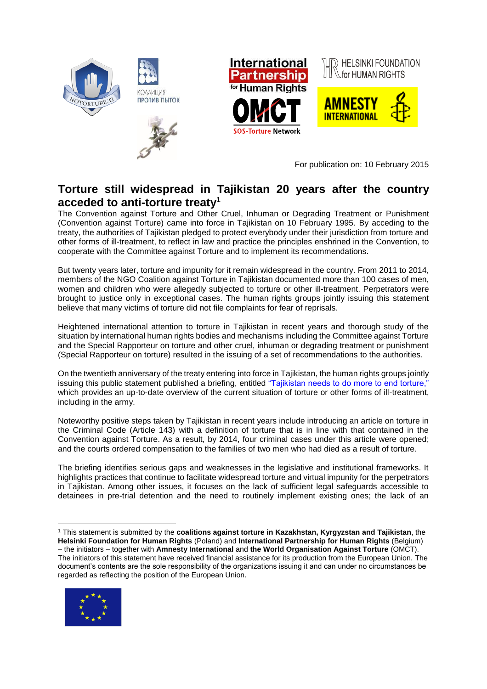

For publication on: 10 February 2015

## **Torture still widespread in Tajikistan 20 years after the country acceded to anti-torture treaty<sup>1</sup>**

The Convention against Torture and Other Cruel, Inhuman or Degrading Treatment or Punishment (Convention against Torture) came into force in Tajikistan on 10 February 1995. By acceding to the treaty, the authorities of Tajikistan pledged to protect everybody under their jurisdiction from torture and other forms of ill-treatment, to reflect in law and practice the principles enshrined in the Convention, to cooperate with the Committee against Torture and to implement its recommendations.

But twenty years later, torture and impunity for it remain widespread in the country. From 2011 to 2014, members of the NGO Coalition against Torture in Tajikistan documented more than 100 cases of men, women and children who were allegedly subjected to torture or other ill-treatment. Perpetrators were brought to justice only in exceptional cases. The human rights groups jointly issuing this statement believe that many victims of torture did not file complaints for fear of reprisals.

Heightened international attention to torture in Tajikistan in recent years and thorough study of the situation by international human rights bodies and mechanisms including the Committee against Torture and the Special Rapporteur on torture and other cruel, inhuman or degrading treatment or punishment (Special Rapporteur on torture) resulted in the issuing of a set of recommendations to the authorities.

On the twentieth anniversary of the treaty entering into force in Tajikistan, the human rights groups jointly issuing this public statement published a briefing, entitled ["Tajikistan needs to do more to end torture,"](http://www.iphronline.org/uploads/9/0/2/7/9027585/tajikistan_briefing_paper_on_torture_febr_2015.pdf) which provides an up-to-date overview of the current situation of torture or other forms of ill-treatment, including in the army.

Noteworthy positive steps taken by Tajikistan in recent years include introducing an article on torture in the Criminal Code (Article 143) with a definition of torture that is in line with that contained in the Convention against Torture. As a result, by 2014, four criminal cases under this article were opened; and the courts ordered compensation to the families of two men who had died as a result of torture.

The briefing identifies serious gaps and weaknesses in the legislative and institutional frameworks. It highlights practices that continue to facilitate widespread torture and virtual impunity for the perpetrators in Tajikistan. Among other issues, it focuses on the lack of sufficient legal safeguards accessible to detainees in pre-trial detention and the need to routinely implement existing ones; the lack of an

<sup>1</sup> This statement is submitted by the **coalitions against torture in Kazakhstan, Kyrgyzstan and Tajikistan**, the **Helsinki Foundation for Human Rights** (Poland) and **International Partnership for Human Rights** (Belgium) – the initiators – together with **Amnesty International** and **the World Organisation Against Torture** (OMCT). The initiators of this statement have received financial assistance for its production from the European Union. The document's contents are the sole responsibility of the organizations issuing it and can under no circumstances be regarded as reflecting the position of the European Union*.*



 $\overline{a}$